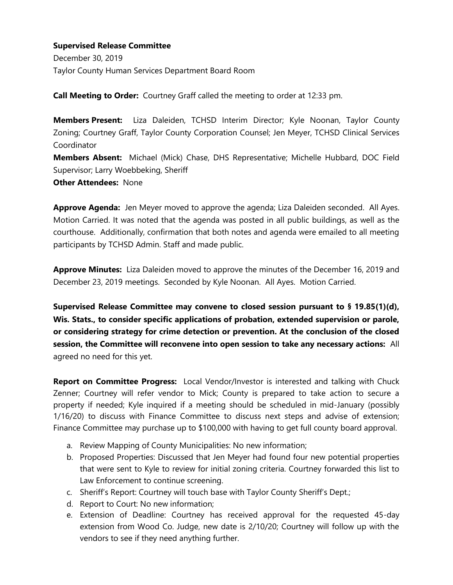December 30, 2019 Taylor County Human Services Department Board Room

**Call Meeting to Order:** Courtney Graff called the meeting to order at 12:33 pm.

**Members Present:** Liza Daleiden, TCHSD Interim Director; Kyle Noonan, Taylor County Zoning; Courtney Graff, Taylor County Corporation Counsel; Jen Meyer, TCHSD Clinical Services Coordinator

**Members Absent:** Michael (Mick) Chase, DHS Representative; Michelle Hubbard, DOC Field Supervisor; Larry Woebbeking, Sheriff

**Other Attendees:** None

**Approve Agenda:** Jen Meyer moved to approve the agenda; Liza Daleiden seconded. All Ayes. Motion Carried. It was noted that the agenda was posted in all public buildings, as well as the courthouse. Additionally, confirmation that both notes and agenda were emailed to all meeting participants by TCHSD Admin. Staff and made public.

**Approve Minutes:** Liza Daleiden moved to approve the minutes of the December 16, 2019 and December 23, 2019 meetings. Seconded by Kyle Noonan. All Ayes. Motion Carried.

**Supervised Release Committee may convene to closed session pursuant to § 19.85(1)(d), Wis. Stats., to consider specific applications of probation, extended supervision or parole, or considering strategy for crime detection or prevention. At the conclusion of the closed session, the Committee will reconvene into open session to take any necessary actions:** All agreed no need for this yet.

**Report on Committee Progress:** Local Vendor/Investor is interested and talking with Chuck Zenner; Courtney will refer vendor to Mick; County is prepared to take action to secure a property if needed; Kyle inquired if a meeting should be scheduled in mid-January (possibly 1/16/20) to discuss with Finance Committee to discuss next steps and advise of extension; Finance Committee may purchase up to \$100,000 with having to get full county board approval.

- a. Review Mapping of County Municipalities: No new information;
- b. Proposed Properties: Discussed that Jen Meyer had found four new potential properties that were sent to Kyle to review for initial zoning criteria. Courtney forwarded this list to Law Enforcement to continue screening.
- c. Sheriff's Report: Courtney will touch base with Taylor County Sheriff's Dept.;
- d. Report to Court: No new information;
- e. Extension of Deadline: Courtney has received approval for the requested 45-day extension from Wood Co. Judge, new date is 2/10/20; Courtney will follow up with the vendors to see if they need anything further.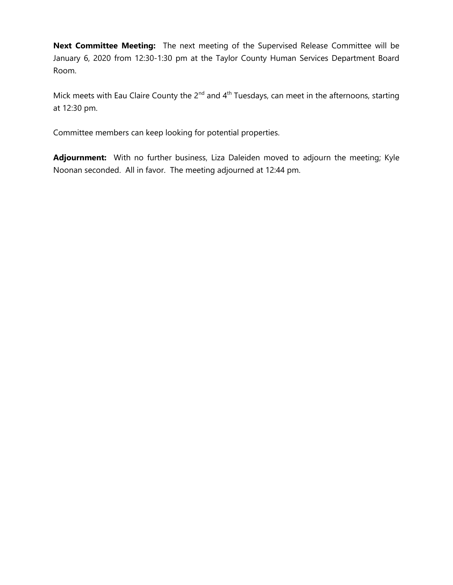**Next Committee Meeting:** The next meeting of the Supervised Release Committee will be January 6, 2020 from 12:30-1:30 pm at the Taylor County Human Services Department Board Room.

Mick meets with Eau Claire County the  $2^{nd}$  and  $4^{th}$  Tuesdays, can meet in the afternoons, starting at 12:30 pm.

Committee members can keep looking for potential properties.

**Adjournment:** With no further business, Liza Daleiden moved to adjourn the meeting; Kyle Noonan seconded. All in favor. The meeting adjourned at 12:44 pm.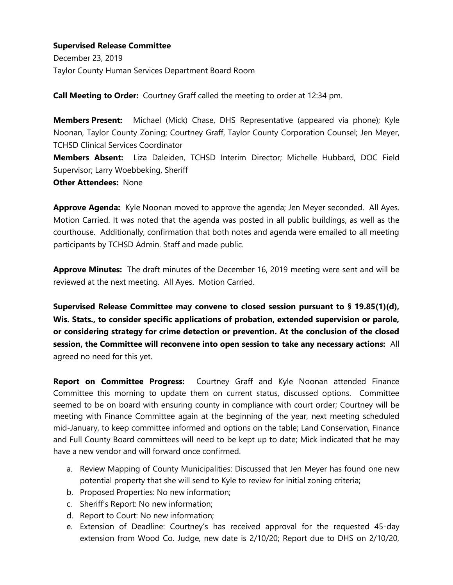December 23, 2019 Taylor County Human Services Department Board Room

**Call Meeting to Order:** Courtney Graff called the meeting to order at 12:34 pm.

**Members Present:** Michael (Mick) Chase, DHS Representative (appeared via phone); Kyle Noonan, Taylor County Zoning; Courtney Graff, Taylor County Corporation Counsel; Jen Meyer, TCHSD Clinical Services Coordinator **Members Absent:** Liza Daleiden, TCHSD Interim Director; Michelle Hubbard, DOC Field Supervisor; Larry Woebbeking, Sheriff

**Other Attendees:** None

**Approve Agenda:** Kyle Noonan moved to approve the agenda; Jen Meyer seconded. All Ayes. Motion Carried. It was noted that the agenda was posted in all public buildings, as well as the courthouse. Additionally, confirmation that both notes and agenda were emailed to all meeting participants by TCHSD Admin. Staff and made public.

**Approve Minutes:** The draft minutes of the December 16, 2019 meeting were sent and will be reviewed at the next meeting. All Ayes. Motion Carried.

**Supervised Release Committee may convene to closed session pursuant to § 19.85(1)(d), Wis. Stats., to consider specific applications of probation, extended supervision or parole, or considering strategy for crime detection or prevention. At the conclusion of the closed session, the Committee will reconvene into open session to take any necessary actions:** All agreed no need for this yet.

**Report on Committee Progress:** Courtney Graff and Kyle Noonan attended Finance Committee this morning to update them on current status, discussed options. Committee seemed to be on board with ensuring county in compliance with court order; Courtney will be meeting with Finance Committee again at the beginning of the year, next meeting scheduled mid-January, to keep committee informed and options on the table; Land Conservation, Finance and Full County Board committees will need to be kept up to date; Mick indicated that he may have a new vendor and will forward once confirmed.

- a. Review Mapping of County Municipalities: Discussed that Jen Meyer has found one new potential property that she will send to Kyle to review for initial zoning criteria;
- b. Proposed Properties: No new information;
- c. Sheriff's Report: No new information;
- d. Report to Court: No new information;
- e. Extension of Deadline: Courtney's has received approval for the requested 45-day extension from Wood Co. Judge, new date is 2/10/20; Report due to DHS on 2/10/20,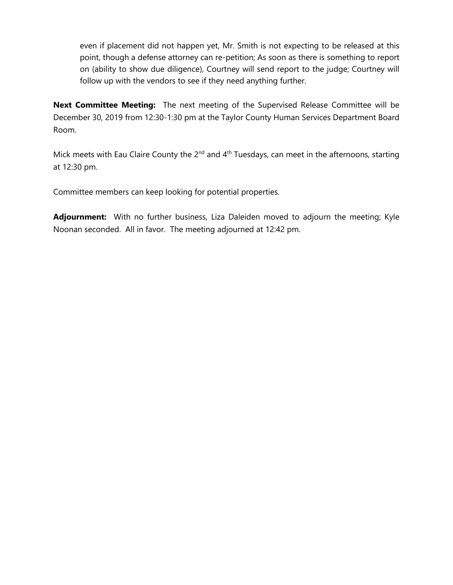even if placement did not happen yet, Mr. Smith is not expecting to be released at this point, though a defense attorney can re-petition; As soon as there is something to report on (ability to show due diligence), Courtney will send report to the judge; Courtney will follow up with the vendors to see if they need anything further.

**Next Committee Meeting:** The next meeting of the Supervised Release Committee will be December 30, 2019 from 12:30-1:30 pm at the Taylor County Human Services Department Board Room.

Mick meets with Eau Claire County the  $2^{nd}$  and  $4^{th}$  Tuesdays, can meet in the afternoons, starting at 12:30 pm.

Committee members can keep looking for potential properties.

**Adjournment:** With no further business, Liza Daleiden moved to adjourn the meeting; Kyle Noonan seconded. All in favor. The meeting adjourned at 12:42 pm.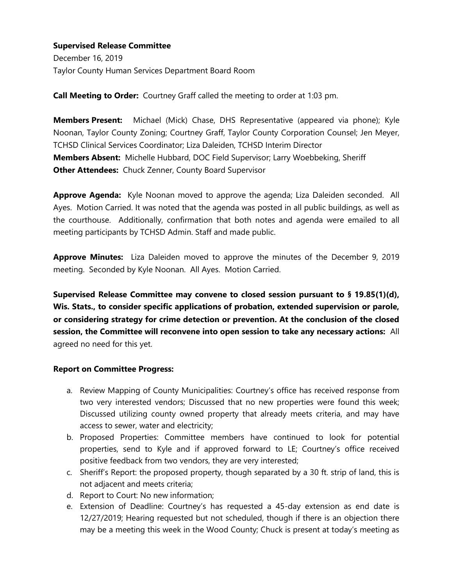December 16, 2019 Taylor County Human Services Department Board Room

**Call Meeting to Order:** Courtney Graff called the meeting to order at 1:03 pm.

**Members Present:** Michael (Mick) Chase, DHS Representative (appeared via phone); Kyle Noonan, Taylor County Zoning; Courtney Graff, Taylor County Corporation Counsel; Jen Meyer, TCHSD Clinical Services Coordinator; Liza Daleiden, TCHSD Interim Director **Members Absent:** Michelle Hubbard, DOC Field Supervisor; Larry Woebbeking, Sheriff **Other Attendees:** Chuck Zenner, County Board Supervisor

**Approve Agenda:** Kyle Noonan moved to approve the agenda; Liza Daleiden seconded. All Ayes. Motion Carried. It was noted that the agenda was posted in all public buildings, as well as the courthouse. Additionally, confirmation that both notes and agenda were emailed to all meeting participants by TCHSD Admin. Staff and made public.

**Approve Minutes:** Liza Daleiden moved to approve the minutes of the December 9, 2019 meeting. Seconded by Kyle Noonan. All Ayes. Motion Carried.

**Supervised Release Committee may convene to closed session pursuant to § 19.85(1)(d), Wis. Stats., to consider specific applications of probation, extended supervision or parole, or considering strategy for crime detection or prevention. At the conclusion of the closed session, the Committee will reconvene into open session to take any necessary actions:** All agreed no need for this yet.

#### **Report on Committee Progress:**

- a. Review Mapping of County Municipalities: Courtney's office has received response from two very interested vendors; Discussed that no new properties were found this week; Discussed utilizing county owned property that already meets criteria, and may have access to sewer, water and electricity;
- b. Proposed Properties: Committee members have continued to look for potential properties, send to Kyle and if approved forward to LE; Courtney's office received positive feedback from two vendors, they are very interested;
- c. Sheriff's Report: the proposed property, though separated by a 30 ft. strip of land, this is not adjacent and meets criteria;
- d. Report to Court: No new information;
- e. Extension of Deadline: Courtney's has requested a 45-day extension as end date is 12/27/2019; Hearing requested but not scheduled, though if there is an objection there may be a meeting this week in the Wood County; Chuck is present at today's meeting as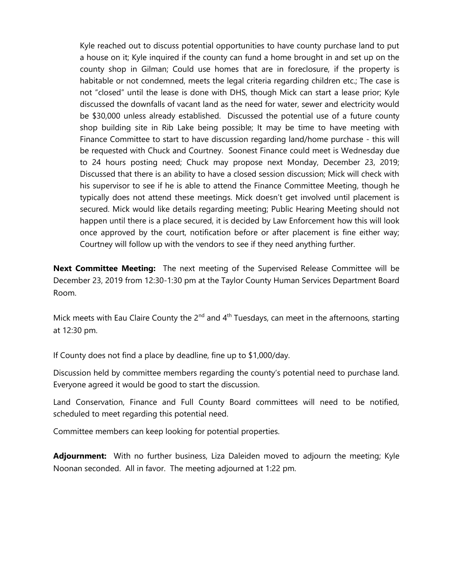Kyle reached out to discuss potential opportunities to have county purchase land to put a house on it; Kyle inquired if the county can fund a home brought in and set up on the county shop in Gilman; Could use homes that are in foreclosure, if the property is habitable or not condemned, meets the legal criteria regarding children etc.; The case is not "closed" until the lease is done with DHS, though Mick can start a lease prior; Kyle discussed the downfalls of vacant land as the need for water, sewer and electricity would be \$30,000 unless already established. Discussed the potential use of a future county shop building site in Rib Lake being possible; It may be time to have meeting with Finance Committee to start to have discussion regarding land/home purchase - this will be requested with Chuck and Courtney. Soonest Finance could meet is Wednesday due to 24 hours posting need; Chuck may propose next Monday, December 23, 2019; Discussed that there is an ability to have a closed session discussion; Mick will check with his supervisor to see if he is able to attend the Finance Committee Meeting, though he typically does not attend these meetings. Mick doesn't get involved until placement is secured. Mick would like details regarding meeting; Public Hearing Meeting should not happen until there is a place secured, it is decided by Law Enforcement how this will look once approved by the court, notification before or after placement is fine either way; Courtney will follow up with the vendors to see if they need anything further.

**Next Committee Meeting:** The next meeting of the Supervised Release Committee will be December 23, 2019 from 12:30-1:30 pm at the Taylor County Human Services Department Board Room.

Mick meets with Eau Claire County the  $2^{nd}$  and  $4^{th}$  Tuesdays, can meet in the afternoons, starting at 12:30 pm.

If County does not find a place by deadline, fine up to \$1,000/day.

Discussion held by committee members regarding the county's potential need to purchase land. Everyone agreed it would be good to start the discussion.

Land Conservation, Finance and Full County Board committees will need to be notified, scheduled to meet regarding this potential need.

Committee members can keep looking for potential properties.

**Adjournment:** With no further business, Liza Daleiden moved to adjourn the meeting; Kyle Noonan seconded. All in favor. The meeting adjourned at 1:22 pm.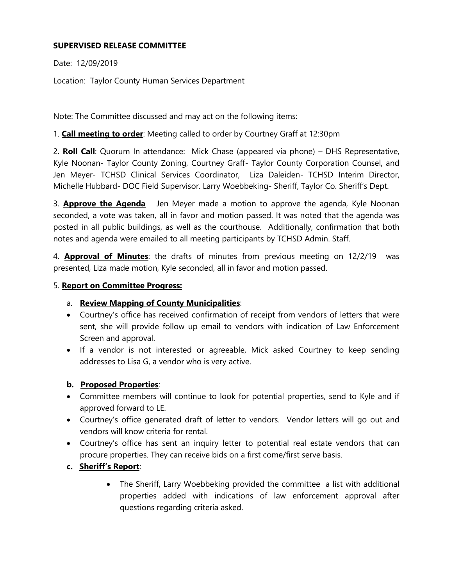## **SUPERVISED RELEASE COMMITTEE**

Date: 12/09/2019

Location: Taylor County Human Services Department

Note: The Committee discussed and may act on the following items:

1. **Call meeting to order**: Meeting called to order by Courtney Graff at 12:30pm

2. **Roll Call**: Quorum In attendance: Mick Chase (appeared via phone) – DHS Representative, Kyle Noonan- Taylor County Zoning, Courtney Graff- Taylor County Corporation Counsel, and Jen Meyer- TCHSD Clinical Services Coordinator, Liza Daleiden- TCHSD Interim Director, Michelle Hubbard- DOC Field Supervisor. Larry Woebbeking- Sheriff, Taylor Co. Sheriff's Dept.

3. **Approve the Agenda** Jen Meyer made a motion to approve the agenda, Kyle Noonan seconded, a vote was taken, all in favor and motion passed. It was noted that the agenda was posted in all public buildings, as well as the courthouse. Additionally, confirmation that both notes and agenda were emailed to all meeting participants by TCHSD Admin. Staff.

4. **Approval of Minutes**: the drafts of minutes from previous meeting on 12/2/19 was presented, Liza made motion, Kyle seconded, all in favor and motion passed.

### 5. **Report on Committee Progress:**

# a. **Review Mapping of County Municipalities**:

- Courtney's office has received confirmation of receipt from vendors of letters that were sent, she will provide follow up email to vendors with indication of Law Enforcement Screen and approval.
- If a vendor is not interested or agreeable, Mick asked Courtney to keep sending addresses to Lisa G, a vendor who is very active.

### **b. Proposed Properties**:

- Committee members will continue to look for potential properties, send to Kyle and if approved forward to LE.
- Courtney's office generated draft of letter to vendors. Vendor letters will go out and vendors will know criteria for rental.
- Courtney's office has sent an inquiry letter to potential real estate vendors that can procure properties. They can receive bids on a first come/first serve basis.
- **c. Sheriff's Report**:
	- The Sheriff, Larry Woebbeking provided the committee a list with additional properties added with indications of law enforcement approval after questions regarding criteria asked.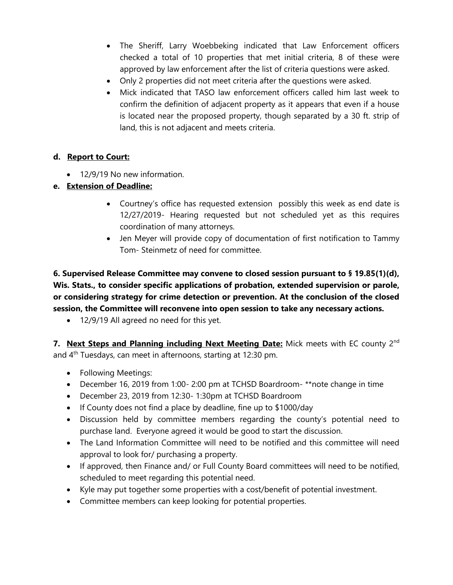- The Sheriff, Larry Woebbeking indicated that Law Enforcement officers checked a total of 10 properties that met initial criteria, 8 of these were approved by law enforcement after the list of criteria questions were asked.
- Only 2 properties did not meet criteria after the questions were asked.
- Mick indicated that TASO law enforcement officers called him last week to confirm the definition of adjacent property as it appears that even if a house is located near the proposed property, though separated by a 30 ft. strip of land, this is not adjacent and meets criteria.

## **d. Report to Court:**

• 12/9/19 No new information.

# **e. Extension of Deadline:**

- Courtney's office has requested extension possibly this week as end date is 12/27/2019- Hearing requested but not scheduled yet as this requires coordination of many attorneys.
- Jen Meyer will provide copy of documentation of first notification to Tammy Tom- Steinmetz of need for committee.

**6. Supervised Release Committee may convene to closed session pursuant to § 19.85(1)(d), Wis. Stats., to consider specific applications of probation, extended supervision or parole, or considering strategy for crime detection or prevention. At the conclusion of the closed session, the Committee will reconvene into open session to take any necessary actions.**

• 12/9/19 All agreed no need for this yet.

**7. Next Steps and Planning including Next Meeting Date:** Mick meets with EC county 2<sup>nd</sup> and 4<sup>th</sup> Tuesdays, can meet in afternoons, starting at 12:30 pm.

- Following Meetings:
- December 16, 2019 from 1:00- 2:00 pm at TCHSD Boardroom- \*\*note change in time
- December 23, 2019 from 12:30- 1:30pm at TCHSD Boardroom
- If County does not find a place by deadline, fine up to \$1000/day
- Discussion held by committee members regarding the county's potential need to purchase land. Everyone agreed it would be good to start the discussion.
- The Land Information Committee will need to be notified and this committee will need approval to look for/ purchasing a property.
- If approved, then Finance and/ or Full County Board committees will need to be notified, scheduled to meet regarding this potential need.
- Kyle may put together some properties with a cost/benefit of potential investment.
- Committee members can keep looking for potential properties.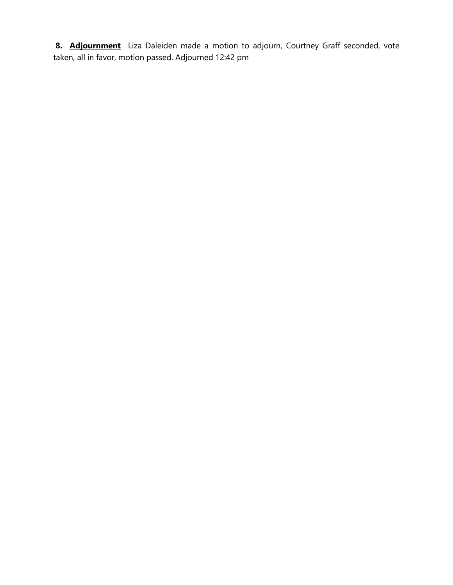8. **Adjournment** Liza Daleiden made a motion to adjourn, Courtney Graff seconded, vote taken, all in favor, motion passed. Adjourned 12:42 pm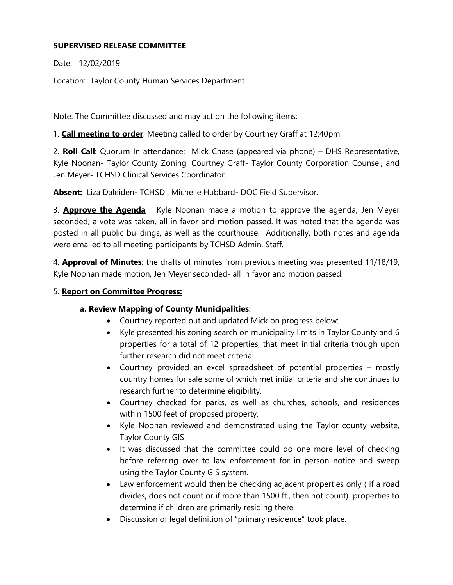## **SUPERVISED RELEASE COMMITTEE**

Date: 12/02/2019

Location: Taylor County Human Services Department

Note: The Committee discussed and may act on the following items:

1. **Call meeting to order**: Meeting called to order by Courtney Graff at 12:40pm

2. **Roll Call**: Quorum In attendance: Mick Chase (appeared via phone) – DHS Representative, Kyle Noonan- Taylor County Zoning, Courtney Graff- Taylor County Corporation Counsel, and Jen Meyer- TCHSD Clinical Services Coordinator.

**Absent:** Liza Daleiden- TCHSD , Michelle Hubbard- DOC Field Supervisor.

3. **Approve the Agenda** Kyle Noonan made a motion to approve the agenda, Jen Meyer seconded, a vote was taken, all in favor and motion passed. It was noted that the agenda was posted in all public buildings, as well as the courthouse. Additionally, both notes and agenda were emailed to all meeting participants by TCHSD Admin. Staff.

4. **Approval of Minutes**: the drafts of minutes from previous meeting was presented 11/18/19, Kyle Noonan made motion, Jen Meyer seconded- all in favor and motion passed.

#### 5. **Report on Committee Progress:**

### **a. Review Mapping of County Municipalities**:

- Courtney reported out and updated Mick on progress below:
- Kyle presented his zoning search on municipality limits in Taylor County and 6 properties for a total of 12 properties, that meet initial criteria though upon further research did not meet criteria.
- Courtney provided an excel spreadsheet of potential properties mostly country homes for sale some of which met initial criteria and she continues to research further to determine eligibility.
- Courtney checked for parks, as well as churches, schools, and residences within 1500 feet of proposed property.
- Kyle Noonan reviewed and demonstrated using the Taylor county website, Taylor County GIS
- It was discussed that the committee could do one more level of checking before referring over to law enforcement for in person notice and sweep using the Taylor County GIS system.
- Law enforcement would then be checking adjacent properties only (if a road divides, does not count or if more than 1500 ft., then not count) properties to determine if children are primarily residing there.
- Discussion of legal definition of "primary residence" took place.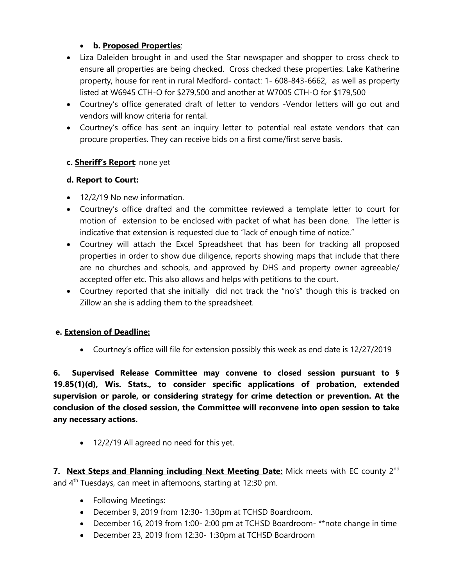## • **b. Proposed Properties**:

- Liza Daleiden brought in and used the Star newspaper and shopper to cross check to ensure all properties are being checked. Cross checked these properties: Lake Katherine property, house for rent in rural Medford- contact: 1- 608-843-6662, as well as property listed at W6945 CTH-O for \$279,500 and another at W7005 CTH-O for \$179,500
- Courtney's office generated draft of letter to vendors -Vendor letters will go out and vendors will know criteria for rental.
- Courtney's office has sent an inquiry letter to potential real estate vendors that can procure properties. They can receive bids on a first come/first serve basis.

## **c. Sheriff's Report**: none yet

### **d. Report to Court:**

- 12/2/19 No new information.
- Courtney's office drafted and the committee reviewed a template letter to court for motion of extension to be enclosed with packet of what has been done. The letter is indicative that extension is requested due to "lack of enough time of notice."
- Courtney will attach the Excel Spreadsheet that has been for tracking all proposed properties in order to show due diligence, reports showing maps that include that there are no churches and schools, and approved by DHS and property owner agreeable/ accepted offer etc. This also allows and helps with petitions to the court.
- Courtney reported that she initially did not track the "no's" though this is tracked on Zillow an she is adding them to the spreadsheet.

### **e. Extension of Deadline:**

• Courtney's office will file for extension possibly this week as end date is 12/27/2019

**6. Supervised Release Committee may convene to closed session pursuant to § 19.85(1)(d), Wis. Stats., to consider specific applications of probation, extended supervision or parole, or considering strategy for crime detection or prevention. At the conclusion of the closed session, the Committee will reconvene into open session to take any necessary actions.**

• 12/2/19 All agreed no need for this yet.

**7. Next Steps and Planning including Next Meeting Date:** Mick meets with EC county 2<sup>nd</sup> and 4th Tuesdays, can meet in afternoons, starting at 12:30 pm.

- Following Meetings:
- December 9, 2019 from 12:30- 1:30pm at TCHSD Boardroom.
- December 16, 2019 from 1:00- 2:00 pm at TCHSD Boardroom- \*\*note change in time
- December 23, 2019 from 12:30- 1:30pm at TCHSD Boardroom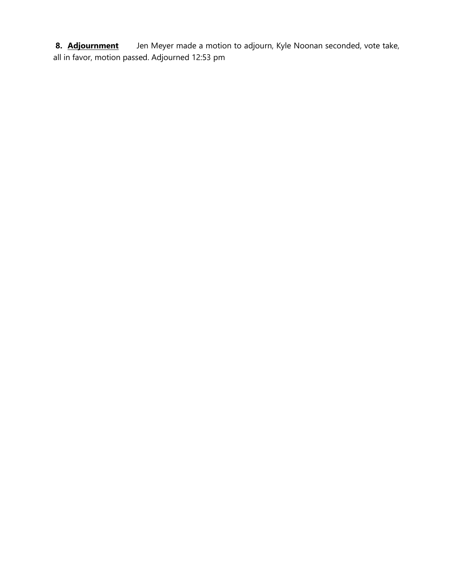8. **Adjournment** Jen Meyer made a motion to adjourn, Kyle Noonan seconded, vote take, all in favor, motion passed. Adjourned 12:53 pm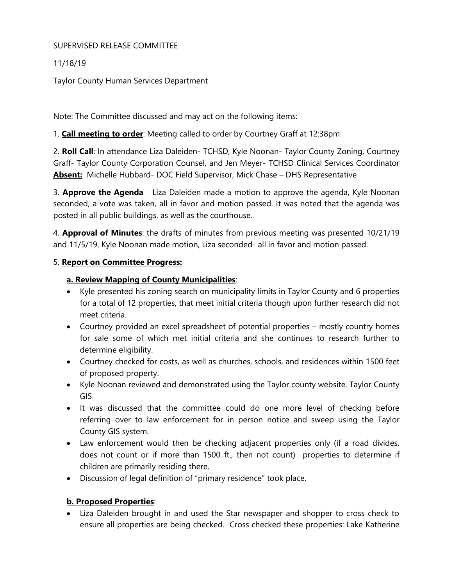### SUPERVISED RELEASE COMMITTEE

11/18/19

Taylor County Human Services Department

Note: The Committee discussed and may act on the following items:

1. **Call meeting to order**: Meeting called to order by Courtney Graff at 12:38pm

2. **Roll Call**: In attendance Liza Daleiden- TCHSD, Kyle Noonan- Taylor County Zoning, Courtney Graff- Taylor County Corporation Counsel, and Jen Meyer- TCHSD Clinical Services Coordinator **Absent:** Michelle Hubbard- DOC Field Supervisor, Mick Chase – DHS Representative

3. **Approve the Agenda** Liza Daleiden made a motion to approve the agenda, Kyle Noonan seconded, a vote was taken, all in favor and motion passed. It was noted that the agenda was posted in all public buildings, as well as the courthouse.

4. **Approval of Minutes**: the drafts of minutes from previous meeting was presented 10/21/19 and 11/5/19, Kyle Noonan made motion, Liza seconded- all in favor and motion passed.

### 5. **Report on Committee Progress:**

## **a. Review Mapping of County Municipalities**:

- Kyle presented his zoning search on municipality limits in Taylor County and 6 properties for a total of 12 properties, that meet initial criteria though upon further research did not meet criteria.
- Courtney provided an excel spreadsheet of potential properties mostly country homes for sale some of which met initial criteria and she continues to research further to determine eligibility.
- Courtney checked for costs, as well as churches, schools, and residences within 1500 feet of proposed property.
- Kyle Noonan reviewed and demonstrated using the Taylor county website, Taylor County GIS
- It was discussed that the committee could do one more level of checking before referring over to law enforcement for in person notice and sweep using the Taylor County GIS system.
- Law enforcement would then be checking adjacent properties only (if a road divides, does not count or if more than 1500 ft., then not count) properties to determine if children are primarily residing there.
- Discussion of legal definition of "primary residence" took place.

# **b. Proposed Properties**:

• Liza Daleiden brought in and used the Star newspaper and shopper to cross check to ensure all properties are being checked. Cross checked these properties: Lake Katherine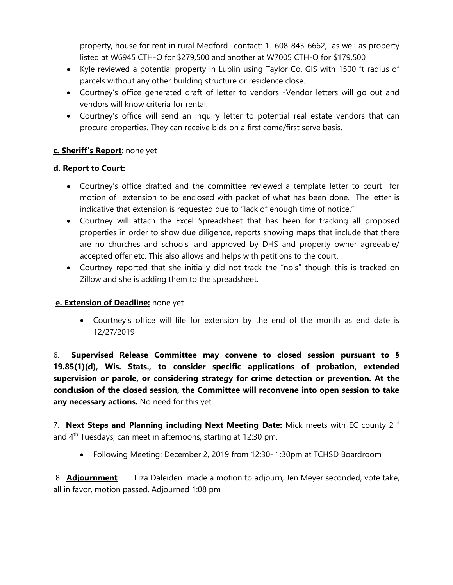property, house for rent in rural Medford- contact: 1- 608-843-6662, as well as property listed at W6945 CTH-O for \$279,500 and another at W7005 CTH-O for \$179,500

- Kyle reviewed a potential property in Lublin using Taylor Co. GIS with 1500 ft radius of parcels without any other building structure or residence close.
- Courtney's office generated draft of letter to vendors -Vendor letters will go out and vendors will know criteria for rental.
- Courtney's office will send an inquiry letter to potential real estate vendors that can procure properties. They can receive bids on a first come/first serve basis.

## **c. Sheriff's Report**: none yet

### **d. Report to Court:**

- Courtney's office drafted and the committee reviewed a template letter to court for motion of extension to be enclosed with packet of what has been done. The letter is indicative that extension is requested due to "lack of enough time of notice."
- Courtney will attach the Excel Spreadsheet that has been for tracking all proposed properties in order to show due diligence, reports showing maps that include that there are no churches and schools, and approved by DHS and property owner agreeable/ accepted offer etc. This also allows and helps with petitions to the court.
- Courtney reported that she initially did not track the "no's" though this is tracked on Zillow and she is adding them to the spreadsheet.

### **e. Extension of Deadline:** none yet

• Courtney's office will file for extension by the end of the month as end date is 12/27/2019

6. **Supervised Release Committee may convene to closed session pursuant to § 19.85(1)(d), Wis. Stats., to consider specific applications of probation, extended supervision or parole, or considering strategy for crime detection or prevention. At the conclusion of the closed session, the Committee will reconvene into open session to take any necessary actions.** No need for this yet

7. **Next Steps and Planning including Next Meeting Date:** Mick meets with EC county 2nd and 4<sup>th</sup> Tuesdays, can meet in afternoons, starting at 12:30 pm.

• Following Meeting: December 2, 2019 from 12:30- 1:30pm at TCHSD Boardroom

8. **Adjournment** Liza Daleiden made a motion to adjourn, Jen Meyer seconded, vote take, all in favor, motion passed. Adjourned 1:08 pm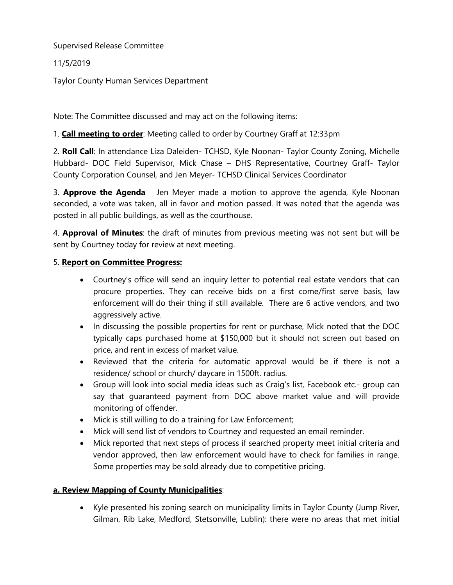11/5/2019

Taylor County Human Services Department

Note: The Committee discussed and may act on the following items:

# 1. **Call meeting to order**: Meeting called to order by Courtney Graff at 12:33pm

2. **Roll Call**: In attendance Liza Daleiden- TCHSD, Kyle Noonan- Taylor County Zoning, Michelle Hubbard- DOC Field Supervisor, Mick Chase – DHS Representative, Courtney Graff- Taylor County Corporation Counsel, and Jen Meyer- TCHSD Clinical Services Coordinator

3. **Approve the Agenda** Jen Meyer made a motion to approve the agenda, Kyle Noonan seconded, a vote was taken, all in favor and motion passed. It was noted that the agenda was posted in all public buildings, as well as the courthouse.

4. **Approval of Minutes**: the draft of minutes from previous meeting was not sent but will be sent by Courtney today for review at next meeting.

### 5. **Report on Committee Progress:**

- Courtney's office will send an inquiry letter to potential real estate vendors that can procure properties. They can receive bids on a first come/first serve basis, law enforcement will do their thing if still available. There are 6 active vendors, and two aggressively active.
- In discussing the possible properties for rent or purchase, Mick noted that the DOC typically caps purchased home at \$150,000 but it should not screen out based on price, and rent in excess of market value.
- Reviewed that the criteria for automatic approval would be if there is not a residence/ school or church/ daycare in 1500ft. radius.
- Group will look into social media ideas such as Craig's list, Facebook etc.- group can say that guaranteed payment from DOC above market value and will provide monitoring of offender.
- Mick is still willing to do a training for Law Enforcement;
- Mick will send list of vendors to Courtney and requested an email reminder.
- Mick reported that next steps of process if searched property meet initial criteria and vendor approved, then law enforcement would have to check for families in range. Some properties may be sold already due to competitive pricing.

# **a. Review Mapping of County Municipalities**:

• Kyle presented his zoning search on municipality limits in Taylor County (Jump River, Gilman, Rib Lake, Medford, Stetsonville, Lublin): there were no areas that met initial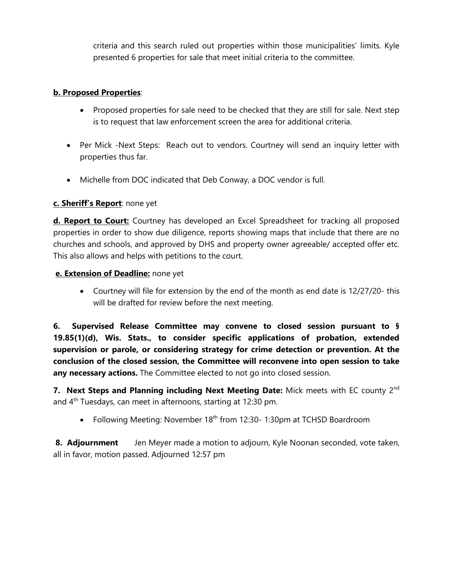criteria and this search ruled out properties within those municipalities' limits. Kyle presented 6 properties for sale that meet initial criteria to the committee.

#### **b. Proposed Properties**:

- Proposed properties for sale need to be checked that they are still for sale. Next step is to request that law enforcement screen the area for additional criteria.
- Per Mick -Next Steps: Reach out to vendors. Courtney will send an inquiry letter with properties thus far.
- Michelle from DOC indicated that Deb Conway, a DOC vendor is full.

### **c. Sheriff's Report**: none yet

**d. Report to Court:** Courtney has developed an Excel Spreadsheet for tracking all proposed properties in order to show due diligence, reports showing maps that include that there are no churches and schools, and approved by DHS and property owner agreeable/ accepted offer etc. This also allows and helps with petitions to the court.

### **e. Extension of Deadline:** none yet

• Courtney will file for extension by the end of the month as end date is 12/27/20- this will be drafted for review before the next meeting.

**6. Supervised Release Committee may convene to closed session pursuant to § 19.85(1)(d), Wis. Stats., to consider specific applications of probation, extended supervision or parole, or considering strategy for crime detection or prevention. At the conclusion of the closed session, the Committee will reconvene into open session to take any necessary actions.** The Committee elected to not go into closed session.

**7. Next Steps and Planning including Next Meeting Date:** Mick meets with EC county 2nd and  $4<sup>th</sup>$  Tuesdays, can meet in afternoons, starting at 12:30 pm.

• Following Meeting: November 18<sup>th</sup> from 12:30-1:30pm at TCHSD Boardroom

**8. Adjournment** Jen Meyer made a motion to adjourn, Kyle Noonan seconded, vote taken, all in favor, motion passed. Adjourned 12:57 pm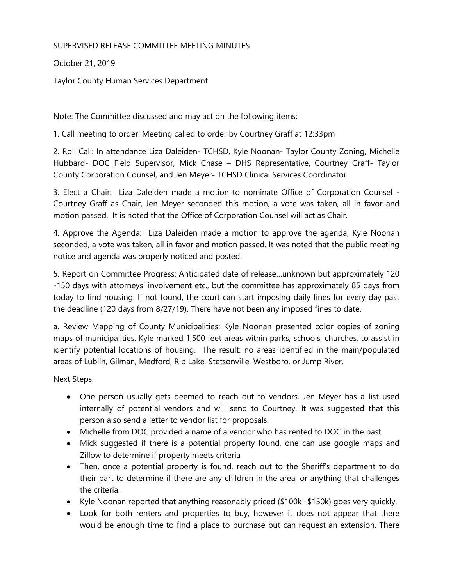### SUPERVISED RELEASE COMMITTEE MEETING MINUTES

October 21, 2019

Taylor County Human Services Department

Note: The Committee discussed and may act on the following items:

1. Call meeting to order: Meeting called to order by Courtney Graff at 12:33pm

2. Roll Call: In attendance Liza Daleiden- TCHSD, Kyle Noonan- Taylor County Zoning, Michelle Hubbard- DOC Field Supervisor, Mick Chase – DHS Representative, Courtney Graff- Taylor County Corporation Counsel, and Jen Meyer- TCHSD Clinical Services Coordinator

3. Elect a Chair: Liza Daleiden made a motion to nominate Office of Corporation Counsel - Courtney Graff as Chair, Jen Meyer seconded this motion, a vote was taken, all in favor and motion passed. It is noted that the Office of Corporation Counsel will act as Chair.

4. Approve the Agenda: Liza Daleiden made a motion to approve the agenda, Kyle Noonan seconded, a vote was taken, all in favor and motion passed. It was noted that the public meeting notice and agenda was properly noticed and posted.

5. Report on Committee Progress: Anticipated date of release…unknown but approximately 120 -150 days with attorneys' involvement etc., but the committee has approximately 85 days from today to find housing. If not found, the court can start imposing daily fines for every day past the deadline (120 days from 8/27/19). There have not been any imposed fines to date.

a. Review Mapping of County Municipalities: Kyle Noonan presented color copies of zoning maps of municipalities. Kyle marked 1,500 feet areas within parks, schools, churches, to assist in identify potential locations of housing. The result: no areas identified in the main/populated areas of Lublin, Gilman, Medford, Rib Lake, Stetsonville, Westboro, or Jump River.

Next Steps:

- One person usually gets deemed to reach out to vendors, Jen Meyer has a list used internally of potential vendors and will send to Courtney. It was suggested that this person also send a letter to vendor list for proposals.
- Michelle from DOC provided a name of a vendor who has rented to DOC in the past.
- Mick suggested if there is a potential property found, one can use google maps and Zillow to determine if property meets criteria
- Then, once a potential property is found, reach out to the Sheriff's department to do their part to determine if there are any children in the area, or anything that challenges the criteria.
- Kyle Noonan reported that anything reasonably priced (\$100k- \$150k) goes very quickly.
- Look for both renters and properties to buy, however it does not appear that there would be enough time to find a place to purchase but can request an extension. There